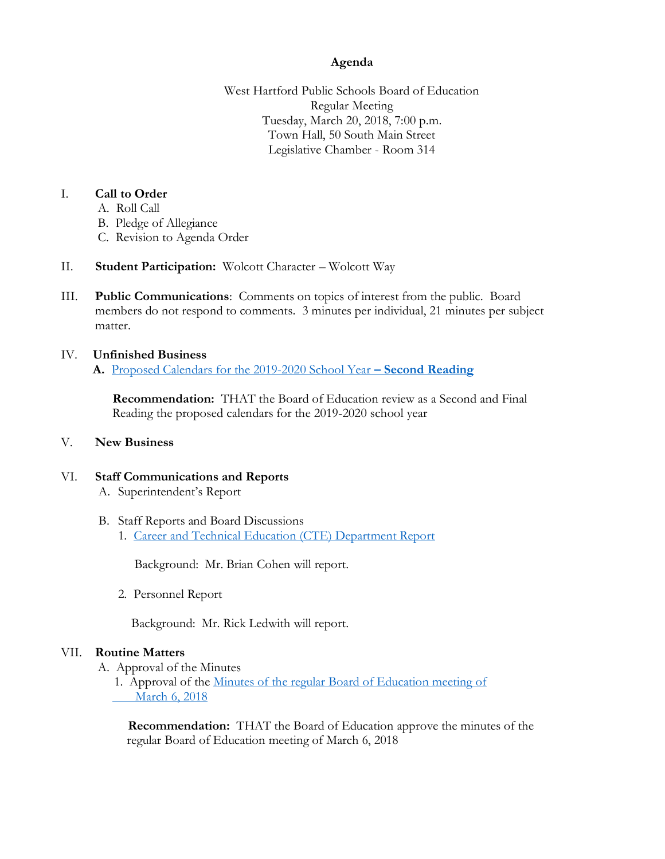## **Agenda**

West Hartford Public Schools Board of Education Regular Meeting Tuesday, March 20, 2018, 7:00 p.m. Town Hall, 50 South Main Street Legislative Chamber - Room 314

## I. **Call to Order**

- A. Roll Call
- B. Pledge of Allegiance
- C. Revision to Agenda Order
- II. **Student Participation:** Wolcott Character Wolcott Way
- III. **Public Communications**: Comments on topics of interest from the public. Board members do not respond to comments. 3 minutes per individual, 21 minutes per subject matter.

#### IV. **Unfinished Business A.** Proposed Calendars [for the 2019-2020 School Year](https://www.whps.org/uploaded/BOE/BOE_Documents/20180320/Revised_calendars_2019-20.pdf?1521144324392) **– Second Reading**

 **Recommendation:** THAT the Board of Education review as a Second and Final Reading the proposed calendars for the 2019-2020 school year

## V. **New Business**

# VI. **Staff Communications and Reports**

- A. Superintendent's Report
- B. Staff Reports and Board Discussions 1. Career and Technical [Education \(CTE\) Department Report](https://www.whps.org/uploaded/BOE/BOE_Documents/20180320/CTE_BOE_Report_3-20-18.pdf?1521144304776)

Background: Mr. Brian Cohen will report.

2. Personnel Report

Background: Mr. Rick Ledwith will report.

## VII. **Routine Matters**

A. Approval of the Minutes

1. Approval of the Minutes of the regular Board of Education meeting of  [March 6, 2018](https://www.whps.org/uploaded/BOE/BOE_Documents/20180320/unofficial_minutes_from_03062018.pdf?1521144340017)

 **Recommendation:** THAT the Board of Education approve the minutes of the regular Board of Education meeting of March 6, 2018